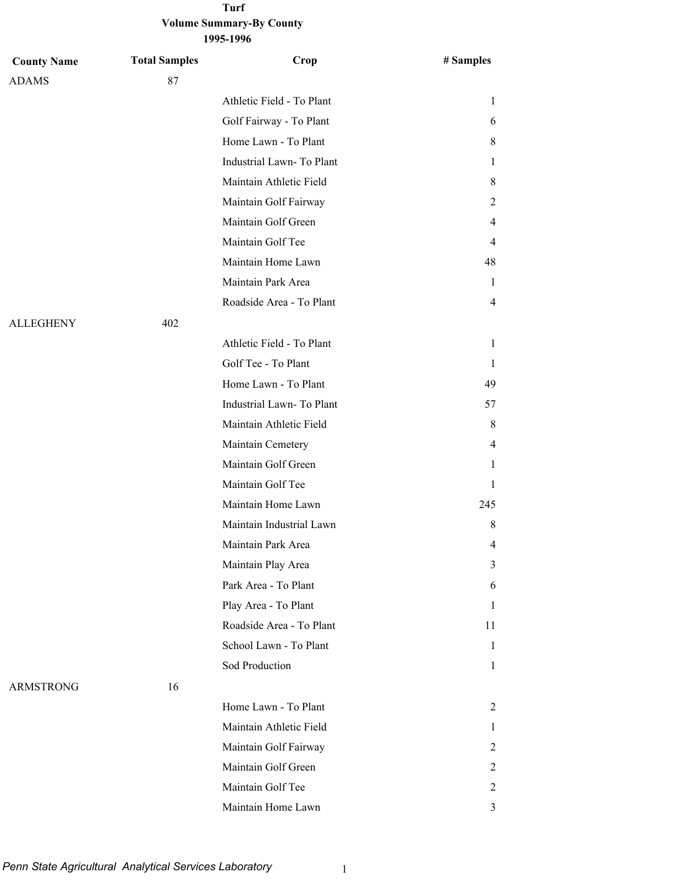#### **Volume Summary-By County 1995-1996 Turf**

| <b>County Name</b> | <b>Total Samples</b> | Crop                      | # Samples      |
|--------------------|----------------------|---------------------------|----------------|
| <b>ADAMS</b>       | 87                   |                           |                |
|                    |                      | Athletic Field - To Plant | 1              |
|                    |                      | Golf Fairway - To Plant   | 6              |
|                    |                      | Home Lawn - To Plant      | 8              |
|                    |                      | Industrial Lawn-To Plant  | 1              |
|                    |                      | Maintain Athletic Field   | 8              |
|                    |                      | Maintain Golf Fairway     | 2              |
|                    |                      | Maintain Golf Green       | 4              |
|                    |                      | Maintain Golf Tee         | 4              |
|                    |                      | Maintain Home Lawn        | 48             |
|                    |                      | Maintain Park Area        | 1              |
|                    |                      | Roadside Area - To Plant  | $\overline{4}$ |
| <b>ALLEGHENY</b>   | 402                  |                           |                |
|                    |                      | Athletic Field - To Plant | 1              |
|                    |                      | Golf Tee - To Plant       | 1              |
|                    |                      | Home Lawn - To Plant      | 49             |
|                    |                      | Industrial Lawn-To Plant  | 57             |
|                    |                      | Maintain Athletic Field   | 8              |
|                    |                      | Maintain Cemetery         | 4              |
|                    |                      | Maintain Golf Green       | 1              |
|                    |                      | Maintain Golf Tee         | 1              |
|                    |                      | Maintain Home Lawn        | 245            |
|                    |                      | Maintain Industrial Lawn  | 8              |
|                    |                      | Maintain Park Area        | 4              |
|                    |                      | Maintain Play Area        | 3              |
|                    |                      | Park Area - To Plant      | 6              |
|                    |                      | Play Area - To Plant      | 1              |
|                    |                      | Roadside Area - To Plant  | 11             |
|                    |                      | School Lawn - To Plant    | 1              |
|                    |                      | Sod Production            | 1              |
| <b>ARMSTRONG</b>   | 16                   |                           |                |
|                    |                      | Home Lawn - To Plant      | 2              |
|                    |                      | Maintain Athletic Field   | 1              |
|                    |                      | Maintain Golf Fairway     | 2              |
|                    |                      | Maintain Golf Green       | 2              |
|                    |                      | Maintain Golf Tee         | 2              |
|                    |                      | Maintain Home Lawn        | 3              |

*Penn State Agricultural Analytical Services Laboratory* 1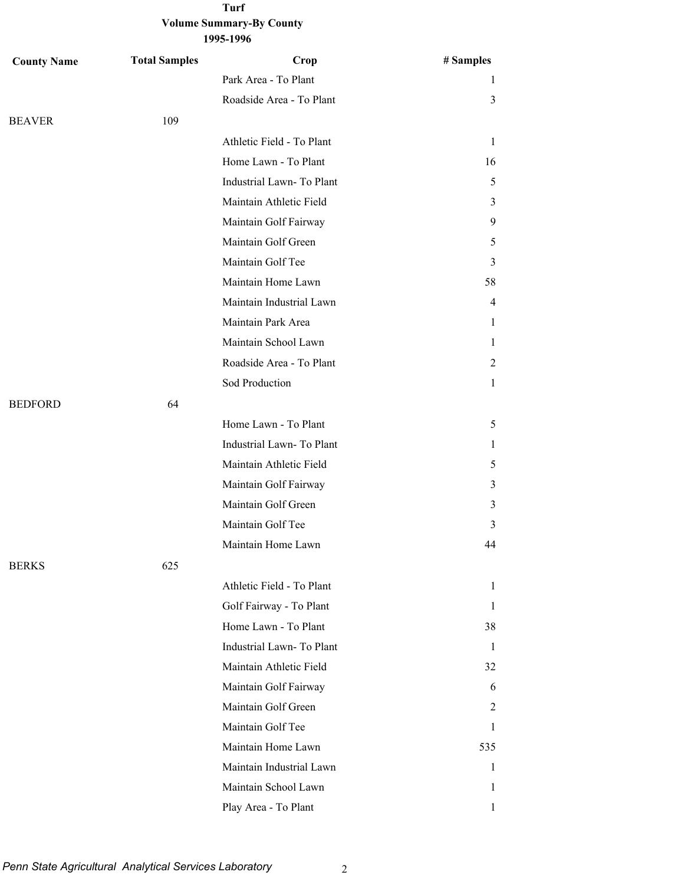| <b>County Name</b> | <b>Total Samples</b> | Crop                      | # Samples    |
|--------------------|----------------------|---------------------------|--------------|
|                    |                      | Park Area - To Plant      | 1            |
|                    |                      | Roadside Area - To Plant  | 3            |
| <b>BEAVER</b>      | 109                  |                           |              |
|                    |                      | Athletic Field - To Plant | 1            |
|                    |                      | Home Lawn - To Plant      | 16           |
|                    |                      | Industrial Lawn-To Plant  | 5            |
|                    |                      | Maintain Athletic Field   | 3            |
|                    |                      | Maintain Golf Fairway     | 9            |
|                    |                      | Maintain Golf Green       | 5            |
|                    |                      | Maintain Golf Tee         | 3            |
|                    |                      | Maintain Home Lawn        | 58           |
|                    |                      | Maintain Industrial Lawn  | 4            |
|                    |                      | Maintain Park Area        | 1            |
|                    |                      | Maintain School Lawn      | 1            |
|                    |                      | Roadside Area - To Plant  | 2            |
|                    |                      | Sod Production            | 1            |
| <b>BEDFORD</b>     | 64                   |                           |              |
|                    |                      | Home Lawn - To Plant      | 5            |
|                    |                      | Industrial Lawn-To Plant  | 1            |
|                    |                      | Maintain Athletic Field   | 5            |
|                    |                      | Maintain Golf Fairway     | 3            |
|                    |                      | Maintain Golf Green       | 3            |
|                    |                      | Maintain Golf Tee         | 3            |
|                    |                      | Maintain Home Lawn        | 44           |
| <b>BERKS</b>       | 625                  |                           |              |
|                    |                      | Athletic Field - To Plant | $\mathbf{1}$ |
|                    |                      | Golf Fairway - To Plant   | 1            |
|                    |                      | Home Lawn - To Plant      | 38           |
|                    |                      | Industrial Lawn-To Plant  | 1            |
|                    |                      | Maintain Athletic Field   | 32           |
|                    |                      | Maintain Golf Fairway     | 6            |
|                    |                      | Maintain Golf Green       | 2            |
|                    |                      | Maintain Golf Tee         | 1            |
|                    |                      | Maintain Home Lawn        | 535          |
|                    |                      | Maintain Industrial Lawn  | 1            |
|                    |                      | Maintain School Lawn      | 1            |
|                    |                      | Play Area - To Plant      | 1            |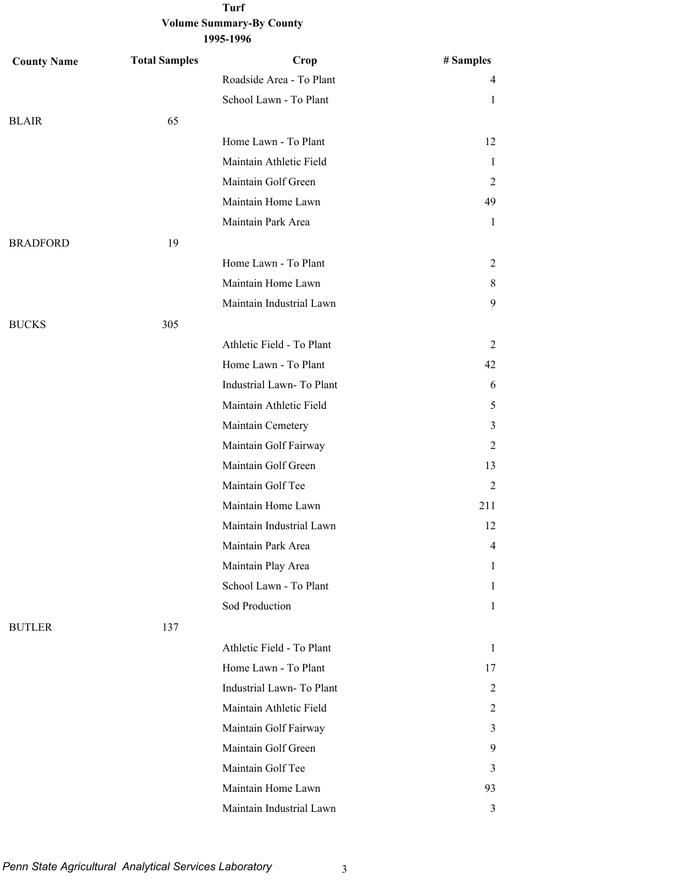| <b>County Name</b> | <b>Total Samples</b> | Crop                      | # Samples      |
|--------------------|----------------------|---------------------------|----------------|
|                    |                      | Roadside Area - To Plant  | $\overline{4}$ |
|                    |                      | School Lawn - To Plant    | 1              |
| <b>BLAIR</b>       | 65                   |                           |                |
|                    |                      | Home Lawn - To Plant      | 12             |
|                    |                      | Maintain Athletic Field   | 1              |
|                    |                      | Maintain Golf Green       | 2              |
|                    |                      | Maintain Home Lawn        | 49             |
|                    |                      | Maintain Park Area        | 1              |
| <b>BRADFORD</b>    | 19                   |                           |                |
|                    |                      | Home Lawn - To Plant      | 2              |
|                    |                      | Maintain Home Lawn        | 8              |
|                    |                      | Maintain Industrial Lawn  | 9              |
| <b>BUCKS</b>       | 305                  |                           |                |
|                    |                      | Athletic Field - To Plant | 2              |
|                    |                      | Home Lawn - To Plant      | 42             |
|                    |                      | Industrial Lawn-To Plant  | 6              |
|                    |                      | Maintain Athletic Field   | 5              |
|                    |                      | Maintain Cemetery         | 3              |
|                    |                      | Maintain Golf Fairway     | 2              |
|                    |                      | Maintain Golf Green       | 13             |
|                    |                      | Maintain Golf Tee         | 2              |
|                    |                      | Maintain Home Lawn        | 211            |
|                    |                      | Maintain Industrial Lawn  | 12             |
|                    |                      | Maintain Park Area        | 4              |
|                    |                      | Maintain Play Area        | 1              |
|                    |                      | School Lawn - To Plant    | 1              |
|                    |                      | Sod Production            | $\mathbf{1}$   |
| <b>BUTLER</b>      | 137                  |                           |                |
|                    |                      | Athletic Field - To Plant | $\mathbf{1}$   |
|                    |                      | Home Lawn - To Plant      | 17             |
|                    |                      | Industrial Lawn-To Plant  | 2              |
|                    |                      | Maintain Athletic Field   | 2              |
|                    |                      | Maintain Golf Fairway     | 3              |
|                    |                      | Maintain Golf Green       | 9              |
|                    |                      | Maintain Golf Tee         | 3              |
|                    |                      | Maintain Home Lawn        | 93             |
|                    |                      | Maintain Industrial Lawn  | 3              |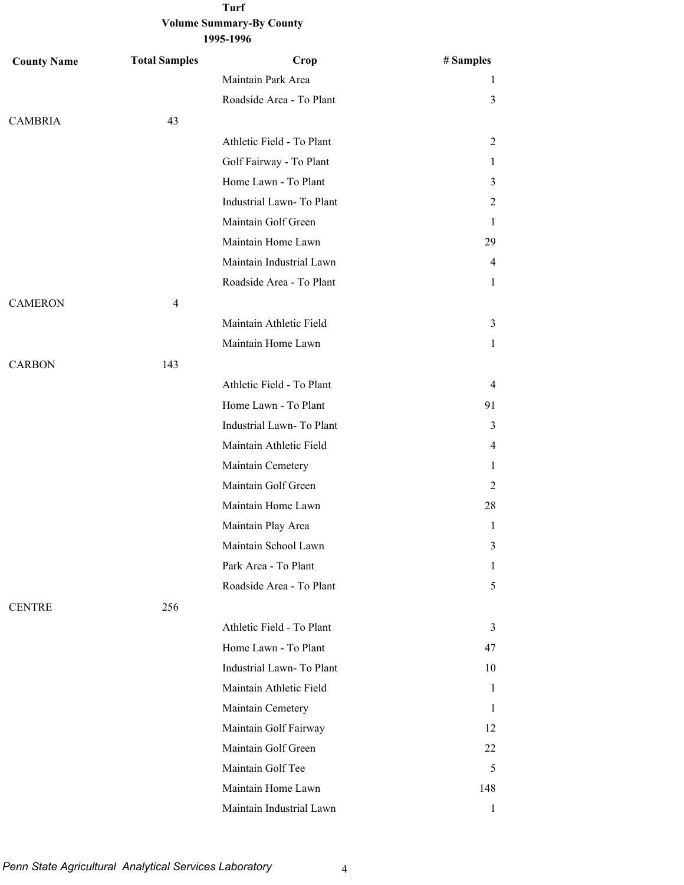| <b>County Name</b> | <b>Total Samples</b> | Crop                      | # Samples      |
|--------------------|----------------------|---------------------------|----------------|
|                    |                      | Maintain Park Area        | 1              |
|                    |                      | Roadside Area - To Plant  | 3              |
| <b>CAMBRIA</b>     | 43                   |                           |                |
|                    |                      | Athletic Field - To Plant | 2              |
|                    |                      | Golf Fairway - To Plant   | 1              |
|                    |                      | Home Lawn - To Plant      | 3              |
|                    |                      | Industrial Lawn-To Plant  | 2              |
|                    |                      | Maintain Golf Green       | 1              |
|                    |                      | Maintain Home Lawn        | 29             |
|                    |                      | Maintain Industrial Lawn  | 4              |
|                    |                      | Roadside Area - To Plant  | 1              |
| <b>CAMERON</b>     | $\overline{4}$       |                           |                |
|                    |                      | Maintain Athletic Field   | 3              |
|                    |                      | Maintain Home Lawn        | 1              |
| <b>CARBON</b>      | 143                  |                           |                |
|                    |                      | Athletic Field - To Plant | $\overline{4}$ |
|                    |                      | Home Lawn - To Plant      | 91             |
|                    |                      | Industrial Lawn-To Plant  | 3              |
|                    |                      | Maintain Athletic Field   | 4              |
|                    |                      | Maintain Cemetery         | 1              |
|                    |                      | Maintain Golf Green       | 2              |
|                    |                      | Maintain Home Lawn        | 28             |
|                    |                      | Maintain Play Area        | 1              |
|                    |                      | Maintain School Lawn      | 3              |
|                    |                      | Park Area - To Plant      | 1              |
|                    |                      | Roadside Area - To Plant  | 5              |
| <b>CENTRE</b>      | 256                  |                           |                |
|                    |                      | Athletic Field - To Plant | 3              |
|                    |                      | Home Lawn - To Plant      | 47             |
|                    |                      | Industrial Lawn-To Plant  | 10             |
|                    |                      | Maintain Athletic Field   | 1              |
|                    |                      | Maintain Cemetery         | 1              |
|                    |                      | Maintain Golf Fairway     | 12             |
|                    |                      | Maintain Golf Green       | 22             |
|                    |                      | Maintain Golf Tee         | 5              |
|                    |                      | Maintain Home Lawn        | 148            |
|                    |                      | Maintain Industrial Lawn  | $\mathbf{1}$   |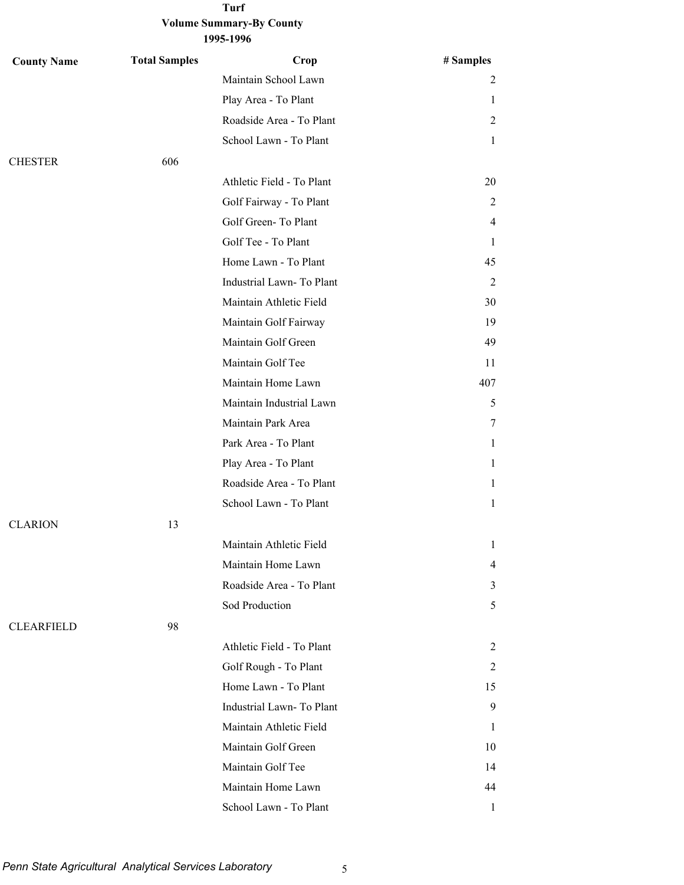| <b>County Name</b> | <b>Total Samples</b> | Crop                      | # Samples      |
|--------------------|----------------------|---------------------------|----------------|
|                    |                      | Maintain School Lawn      | 2              |
|                    |                      | Play Area - To Plant      | 1              |
|                    |                      | Roadside Area - To Plant  | $\overline{2}$ |
|                    |                      | School Lawn - To Plant    | 1              |
| <b>CHESTER</b>     | 606                  |                           |                |
|                    |                      | Athletic Field - To Plant | 20             |
|                    |                      | Golf Fairway - To Plant   | $\overline{2}$ |
|                    |                      | Golf Green-To Plant       | 4              |
|                    |                      | Golf Tee - To Plant       | 1              |
|                    |                      | Home Lawn - To Plant      | 45             |
|                    |                      | Industrial Lawn-To Plant  | $\overline{2}$ |
|                    |                      | Maintain Athletic Field   | 30             |
|                    |                      | Maintain Golf Fairway     | 19             |
|                    |                      | Maintain Golf Green       | 49             |
|                    |                      | Maintain Golf Tee         | 11             |
|                    |                      | Maintain Home Lawn        | 407            |
|                    |                      | Maintain Industrial Lawn  | 5              |
|                    |                      | Maintain Park Area        | 7              |
|                    |                      | Park Area - To Plant      | 1              |
|                    |                      | Play Area - To Plant      | 1              |
|                    |                      | Roadside Area - To Plant  | 1              |
|                    |                      | School Lawn - To Plant    | 1              |
| <b>CLARION</b>     | 13                   |                           |                |
|                    |                      | Maintain Athletic Field   | 1              |
|                    |                      | Maintain Home Lawn        | 4              |
|                    |                      | Roadside Area - To Plant  | 3              |
|                    |                      | Sod Production            | 5              |
| <b>CLEARFIELD</b>  | 98                   |                           |                |
|                    |                      | Athletic Field - To Plant | 2              |
|                    |                      | Golf Rough - To Plant     | 2              |
|                    |                      | Home Lawn - To Plant      | 15             |
|                    |                      | Industrial Lawn-To Plant  | 9              |
|                    |                      | Maintain Athletic Field   | 1              |
|                    |                      | Maintain Golf Green       | 10             |
|                    |                      | Maintain Golf Tee         | 14             |
|                    |                      | Maintain Home Lawn        | 44             |
|                    |                      | School Lawn - To Plant    | 1              |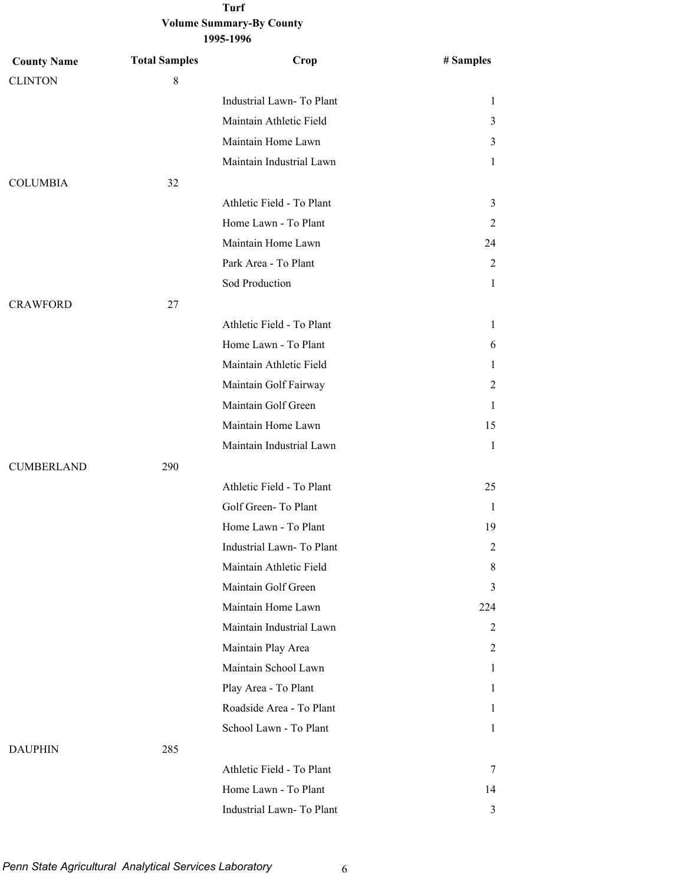| 1995-1996 |
|-----------|
|-----------|

| <b>County Name</b> | <b>Total Samples</b> | Crop                      | # Samples      |
|--------------------|----------------------|---------------------------|----------------|
| <b>CLINTON</b>     | $\,8\,$              |                           |                |
|                    |                      | Industrial Lawn-To Plant  | 1              |
|                    |                      | Maintain Athletic Field   | 3              |
|                    |                      | Maintain Home Lawn        | 3              |
|                    |                      | Maintain Industrial Lawn  | 1              |
| <b>COLUMBIA</b>    | 32                   |                           |                |
|                    |                      | Athletic Field - To Plant | 3              |
|                    |                      | Home Lawn - To Plant      | 2              |
|                    |                      | Maintain Home Lawn        | 24             |
|                    |                      | Park Area - To Plant      | 2              |
|                    |                      | Sod Production            | $\mathbf{1}$   |
| <b>CRAWFORD</b>    | 27                   |                           |                |
|                    |                      | Athletic Field - To Plant | 1              |
|                    |                      | Home Lawn - To Plant      | 6              |
|                    |                      | Maintain Athletic Field   | 1              |
|                    |                      | Maintain Golf Fairway     | 2              |
|                    |                      | Maintain Golf Green       | 1              |
|                    |                      | Maintain Home Lawn        | 15             |
|                    |                      | Maintain Industrial Lawn  | $\mathbf{1}$   |
| <b>CUMBERLAND</b>  | 290                  |                           |                |
|                    |                      | Athletic Field - To Plant | 25             |
|                    |                      | Golf Green-To Plant       | 1              |
|                    |                      | Home Lawn - To Plant      | 19             |
|                    |                      | Industrial Lawn-To Plant  | 2              |
|                    |                      | Maintain Athletic Field   | 8              |
|                    |                      | Maintain Golf Green       | 3              |
|                    |                      | Maintain Home Lawn        | 224            |
|                    |                      | Maintain Industrial Lawn  | $\overline{c}$ |
|                    |                      | Maintain Play Area        | 2              |
|                    |                      | Maintain School Lawn      | $\mathbf{1}$   |
|                    |                      | Play Area - To Plant      | 1              |
|                    |                      | Roadside Area - To Plant  | 1              |
|                    |                      | School Lawn - To Plant    | 1              |
| <b>DAUPHIN</b>     | 285                  |                           |                |
|                    |                      | Athletic Field - To Plant | 7              |
|                    |                      | Home Lawn - To Plant      | 14             |
|                    |                      | Industrial Lawn- To Plant | 3              |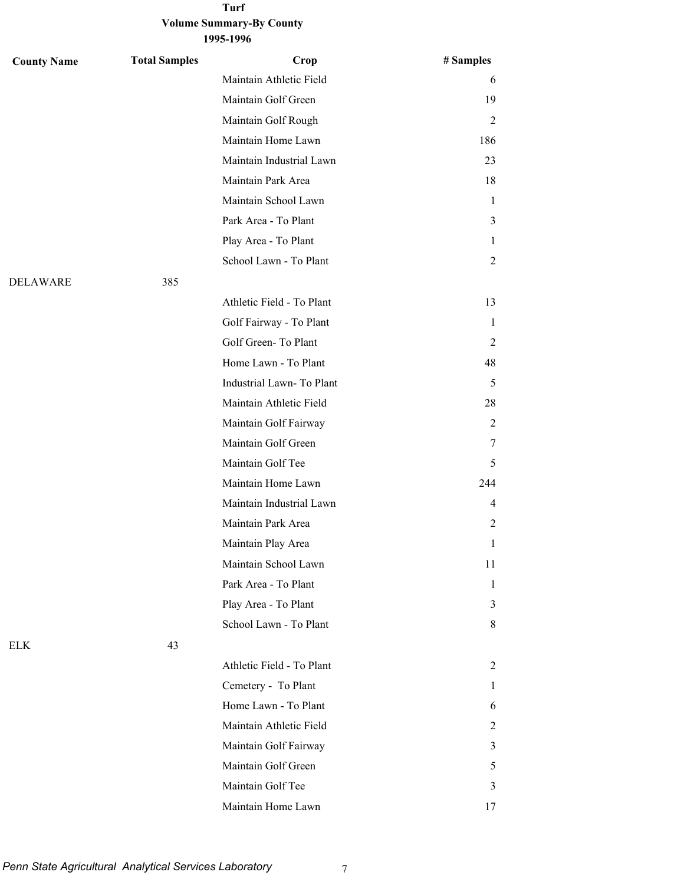#### **Turf**

#### **Volume Summary-By County 1995-1996**

| <b>County Name</b> | <b>Total Samples</b> | Crop                      | # Samples      |
|--------------------|----------------------|---------------------------|----------------|
|                    |                      | Maintain Athletic Field   | 6              |
|                    |                      | Maintain Golf Green       | 19             |
|                    |                      | Maintain Golf Rough       | 2              |
|                    |                      | Maintain Home Lawn        | 186            |
|                    |                      | Maintain Industrial Lawn  | 23             |
|                    |                      | Maintain Park Area        | 18             |
|                    |                      | Maintain School Lawn      | $\mathbf{1}$   |
|                    |                      | Park Area - To Plant      | 3              |
|                    |                      | Play Area - To Plant      | 1              |
|                    |                      | School Lawn - To Plant    | 2              |
| DELAWARE           | 385                  |                           |                |
|                    |                      | Athletic Field - To Plant | 13             |
|                    |                      | Golf Fairway - To Plant   | $\mathbf{1}$   |
|                    |                      | Golf Green-To Plant       | 2              |
|                    |                      | Home Lawn - To Plant      | 48             |
|                    |                      | Industrial Lawn-To Plant  | 5              |
|                    |                      | Maintain Athletic Field   | 28             |
|                    |                      | Maintain Golf Fairway     | 2              |
|                    |                      | Maintain Golf Green       | 7              |
|                    |                      | Maintain Golf Tee         | 5              |
|                    |                      | Maintain Home Lawn        | 244            |
|                    |                      | Maintain Industrial Lawn  | $\overline{4}$ |
|                    |                      | Maintain Park Area        | 2              |
|                    |                      | Maintain Play Area        | 1              |
|                    |                      | Maintain School Lawn      | 11             |
|                    |                      | Park Area - To Plant      | $\mathbf{1}$   |
|                    |                      | Play Area - To Plant      | 3              |
|                    |                      | School Lawn - To Plant    | 8              |
| ELK                | 43                   |                           |                |
|                    |                      | Athletic Field - To Plant | 2              |
|                    |                      | Cemetery - To Plant       | 1              |
|                    |                      | Home Lawn - To Plant      | 6              |
|                    |                      | Maintain Athletic Field   | 2              |
|                    |                      | Maintain Golf Fairway     | 3              |
|                    |                      | Maintain Golf Green       | 5              |
|                    |                      | Maintain Golf Tee         | 3              |
|                    |                      | Maintain Home Lawn        | 17             |

*Penn State Agricultural Analytical Services Laboratory* 7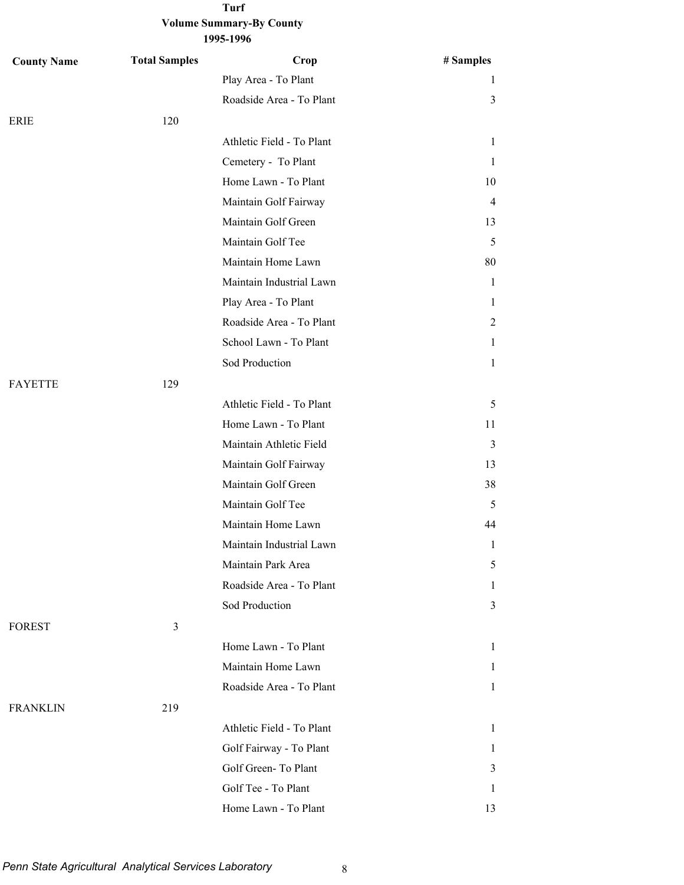| <b>County Name</b> | <b>Total Samples</b> | Crop                      | # Samples      |
|--------------------|----------------------|---------------------------|----------------|
|                    |                      | Play Area - To Plant      | 1              |
|                    |                      | Roadside Area - To Plant  | 3              |
| ERIE               | 120                  |                           |                |
|                    |                      | Athletic Field - To Plant | 1              |
|                    |                      | Cemetery - To Plant       | $\mathbf{1}$   |
|                    |                      | Home Lawn - To Plant      | 10             |
|                    |                      | Maintain Golf Fairway     | $\overline{4}$ |
|                    |                      | Maintain Golf Green       | 13             |
|                    |                      | Maintain Golf Tee         | 5              |
|                    |                      | Maintain Home Lawn        | 80             |
|                    |                      | Maintain Industrial Lawn  | $\mathbf{1}$   |
|                    |                      | Play Area - To Plant      | 1              |
|                    |                      | Roadside Area - To Plant  | 2              |
|                    |                      | School Lawn - To Plant    | 1              |
|                    |                      | Sod Production            | $\mathbf{1}$   |
| <b>FAYETTE</b>     | 129                  |                           |                |
|                    |                      | Athletic Field - To Plant | 5              |
|                    |                      | Home Lawn - To Plant      | 11             |
|                    |                      | Maintain Athletic Field   | 3              |
|                    |                      | Maintain Golf Fairway     | 13             |
|                    |                      | Maintain Golf Green       | 38             |
|                    |                      | Maintain Golf Tee         | 5              |
|                    |                      | Maintain Home Lawn        | 44             |
|                    |                      | Maintain Industrial Lawn  | 1              |
|                    |                      | Maintain Park Area        | 5              |
|                    |                      | Roadside Area - To Plant  | 1              |
|                    |                      | Sod Production            | 3              |
| <b>FOREST</b>      | $\mathfrak{Z}$       |                           |                |
|                    |                      | Home Lawn - To Plant      | $\mathbf{1}$   |
|                    |                      | Maintain Home Lawn        | $\mathbf{1}$   |
|                    |                      | Roadside Area - To Plant  | $\mathbf{1}$   |
| <b>FRANKLIN</b>    | 219                  |                           |                |
|                    |                      | Athletic Field - To Plant | $\mathbf{1}$   |
|                    |                      | Golf Fairway - To Plant   | $\mathbf{1}$   |
|                    |                      | Golf Green-To Plant       | $\mathfrak{Z}$ |
|                    |                      | Golf Tee - To Plant       | 1              |
|                    |                      | Home Lawn - To Plant      | 13             |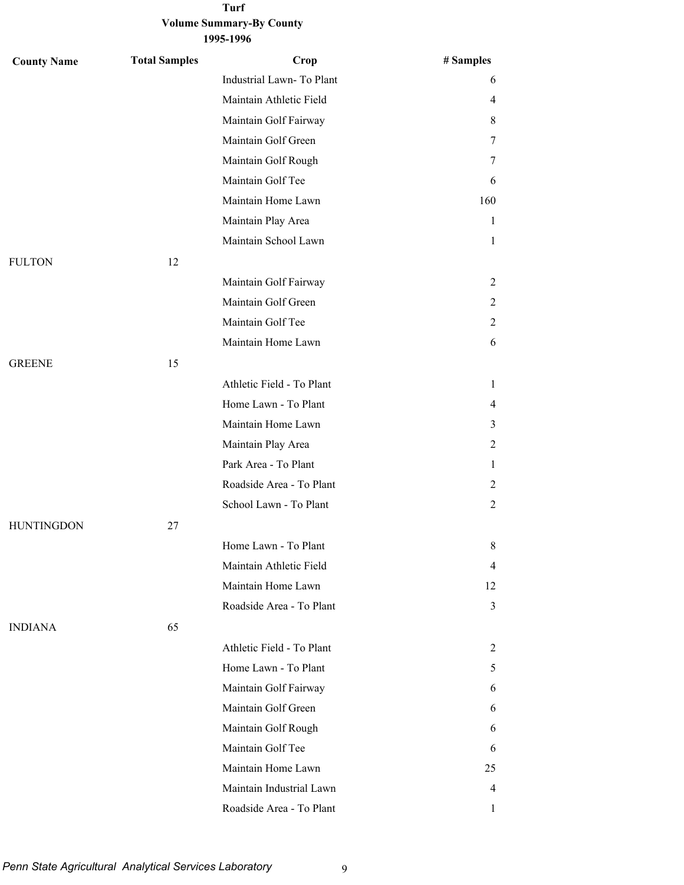| <b>County Name</b> | <b>Total Samples</b> | Crop                      | # Samples      |
|--------------------|----------------------|---------------------------|----------------|
|                    |                      | Industrial Lawn-To Plant  | 6              |
|                    |                      | Maintain Athletic Field   | 4              |
|                    |                      | Maintain Golf Fairway     | 8              |
|                    |                      | Maintain Golf Green       | 7              |
|                    |                      | Maintain Golf Rough       | 7              |
|                    |                      | Maintain Golf Tee         | 6              |
|                    |                      | Maintain Home Lawn        | 160            |
|                    |                      | Maintain Play Area        | 1              |
|                    |                      | Maintain School Lawn      | 1              |
| <b>FULTON</b>      | 12                   |                           |                |
|                    |                      | Maintain Golf Fairway     | 2              |
|                    |                      | Maintain Golf Green       | 2              |
|                    |                      | Maintain Golf Tee         | 2              |
|                    |                      | Maintain Home Lawn        | 6              |
| <b>GREENE</b>      | 15                   |                           |                |
|                    |                      | Athletic Field - To Plant | 1              |
|                    |                      | Home Lawn - To Plant      | 4              |
|                    |                      | Maintain Home Lawn        | 3              |
|                    |                      | Maintain Play Area        | 2              |
|                    |                      | Park Area - To Plant      | $\mathbf{1}$   |
|                    |                      | Roadside Area - To Plant  | 2              |
|                    |                      | School Lawn - To Plant    | 2              |
| <b>HUNTINGDON</b>  | 27                   |                           |                |
|                    |                      | Home Lawn - To Plant      | 8              |
|                    |                      | Maintain Athletic Field   | 4              |
|                    |                      | Maintain Home Lawn        | 12             |
|                    |                      | Roadside Area - To Plant  | 3              |
| <b>INDIANA</b>     | 65                   |                           |                |
|                    |                      | Athletic Field - To Plant | $\overline{c}$ |
|                    |                      | Home Lawn - To Plant      | 5              |
|                    |                      | Maintain Golf Fairway     | 6              |
|                    |                      | Maintain Golf Green       | 6              |
|                    |                      | Maintain Golf Rough       | 6              |
|                    |                      | Maintain Golf Tee         | 6              |
|                    |                      | Maintain Home Lawn        | 25             |
|                    |                      | Maintain Industrial Lawn  | 4              |
|                    |                      | Roadside Area - To Plant  | 1              |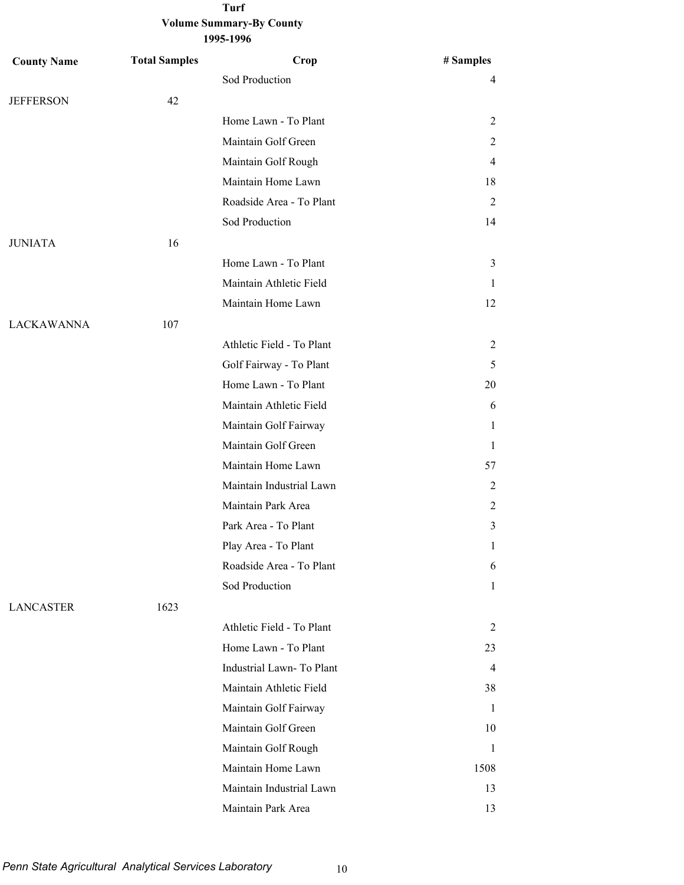| <b>County Name</b> | <b>Total Samples</b> | Crop                      | # Samples      |
|--------------------|----------------------|---------------------------|----------------|
|                    |                      | Sod Production            | 4              |
| <b>JEFFERSON</b>   | 42                   |                           |                |
|                    |                      | Home Lawn - To Plant      | 2              |
|                    |                      | Maintain Golf Green       | 2              |
|                    |                      | Maintain Golf Rough       | $\overline{4}$ |
|                    |                      | Maintain Home Lawn        | 18             |
|                    |                      | Roadside Area - To Plant  | 2              |
|                    |                      | Sod Production            | 14             |
| <b>JUNIATA</b>     | 16                   |                           |                |
|                    |                      | Home Lawn - To Plant      | 3              |
|                    |                      | Maintain Athletic Field   | 1              |
|                    |                      | Maintain Home Lawn        | 12             |
| <b>LACKAWANNA</b>  | 107                  |                           |                |
|                    |                      | Athletic Field - To Plant | 2              |
|                    |                      | Golf Fairway - To Plant   | 5              |
|                    |                      | Home Lawn - To Plant      | 20             |
|                    |                      | Maintain Athletic Field   | 6              |
|                    |                      | Maintain Golf Fairway     | 1              |
|                    |                      | Maintain Golf Green       | 1              |
|                    |                      | Maintain Home Lawn        | 57             |
|                    |                      | Maintain Industrial Lawn  | 2              |
|                    |                      | Maintain Park Area        | 2              |
|                    |                      | Park Area - To Plant      | 3              |
|                    |                      | Play Area - To Plant      | 1              |
|                    |                      | Roadside Area - To Plant  | 6              |
|                    |                      | Sod Production            | 1              |
| <b>LANCASTER</b>   | 1623                 |                           |                |
|                    |                      | Athletic Field - To Plant | 2              |
|                    |                      | Home Lawn - To Plant      | 23             |
|                    |                      | Industrial Lawn-To Plant  | 4              |
|                    |                      | Maintain Athletic Field   | 38             |
|                    |                      | Maintain Golf Fairway     | 1              |
|                    |                      | Maintain Golf Green       | 10             |
|                    |                      | Maintain Golf Rough       | 1              |
|                    |                      | Maintain Home Lawn        | 1508           |
|                    |                      | Maintain Industrial Lawn  | 13             |
|                    |                      | Maintain Park Area        | 13             |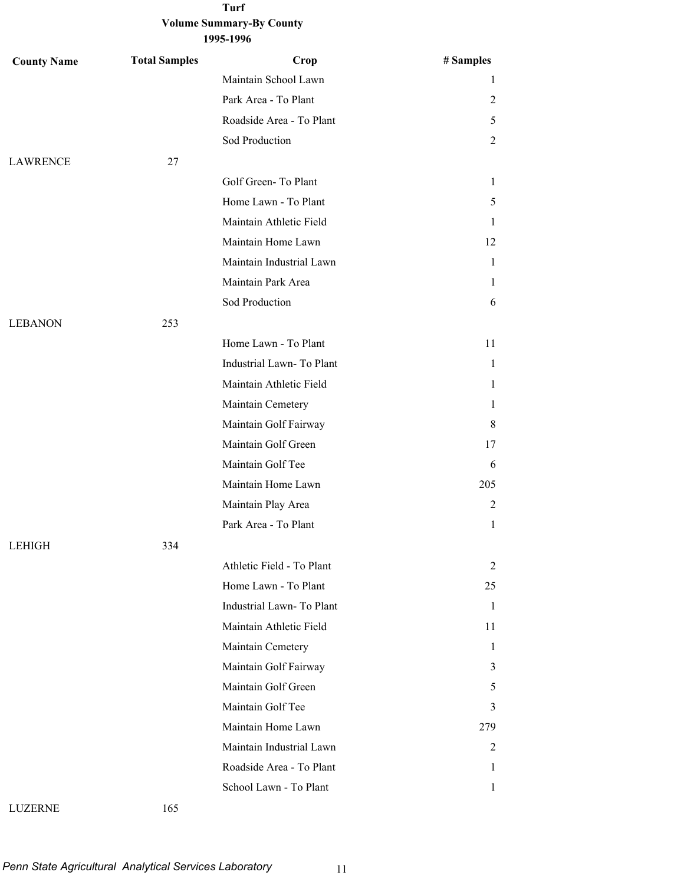| <b>County Name</b> | <b>Total Samples</b> | Crop                      | # Samples    |
|--------------------|----------------------|---------------------------|--------------|
|                    |                      | Maintain School Lawn      | 1            |
|                    |                      | Park Area - To Plant      | 2            |
|                    |                      | Roadside Area - To Plant  | 5            |
|                    |                      | Sod Production            | 2            |
| <b>LAWRENCE</b>    | 27                   |                           |              |
|                    |                      | Golf Green-To Plant       | 1            |
|                    |                      | Home Lawn - To Plant      | 5            |
|                    |                      | Maintain Athletic Field   | 1            |
|                    |                      | Maintain Home Lawn        | 12           |
|                    |                      | Maintain Industrial Lawn  | 1            |
|                    |                      | Maintain Park Area        | 1            |
|                    |                      | Sod Production            | 6            |
| <b>LEBANON</b>     | 253                  |                           |              |
|                    |                      | Home Lawn - To Plant      | 11           |
|                    |                      | Industrial Lawn-To Plant  | $\mathbf{1}$ |
|                    |                      | Maintain Athletic Field   | 1            |
|                    |                      | Maintain Cemetery         | 1            |
|                    |                      | Maintain Golf Fairway     | 8            |
|                    |                      | Maintain Golf Green       | 17           |
|                    |                      | Maintain Golf Tee         | 6            |
|                    |                      | Maintain Home Lawn        | 205          |
|                    |                      | Maintain Play Area        | 2            |
|                    |                      | Park Area - To Plant      | $\mathbf{1}$ |
| <b>LEHIGH</b>      | 334                  |                           |              |
|                    |                      | Athletic Field - To Plant | 2            |
|                    |                      | Home Lawn - To Plant      | 25           |
|                    |                      | Industrial Lawn-To Plant  | 1            |
|                    |                      | Maintain Athletic Field   | 11           |
|                    |                      | Maintain Cemetery         | 1            |
|                    |                      | Maintain Golf Fairway     | 3            |
|                    |                      | Maintain Golf Green       | 5            |
|                    |                      | Maintain Golf Tee         | 3            |
|                    |                      | Maintain Home Lawn        | 279          |
|                    |                      | Maintain Industrial Lawn  | 2            |
|                    |                      | Roadside Area - To Plant  | 1            |
|                    |                      | School Lawn - To Plant    | 1            |
| <b>LUZERNE</b>     | 165                  |                           |              |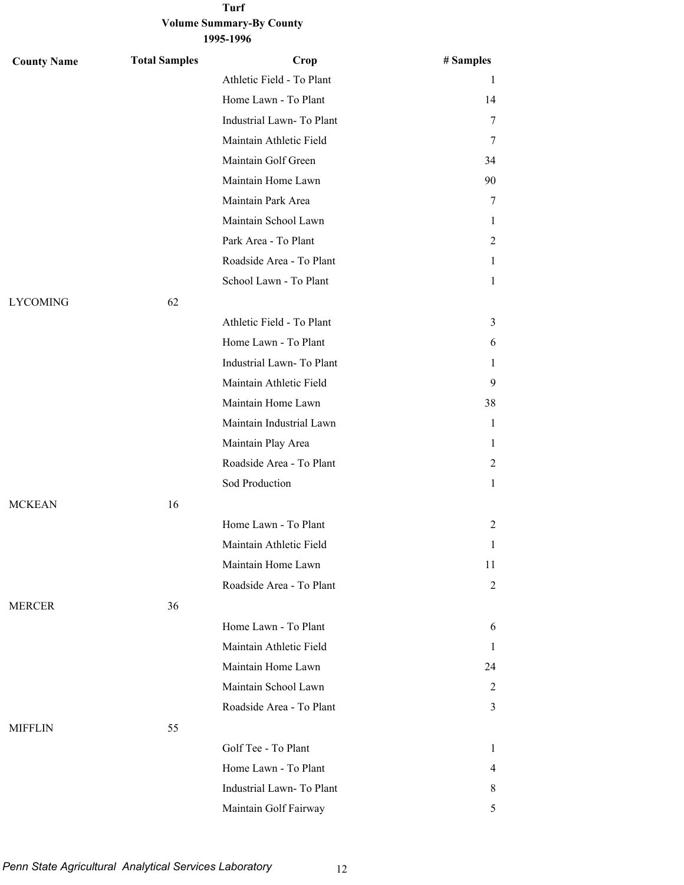| <b>County Name</b> | <b>Total Samples</b> | Crop                      | # Samples      |
|--------------------|----------------------|---------------------------|----------------|
|                    |                      | Athletic Field - To Plant | 1              |
|                    |                      | Home Lawn - To Plant      | 14             |
|                    |                      | Industrial Lawn-To Plant  | 7              |
|                    |                      | Maintain Athletic Field   | 7              |
|                    |                      | Maintain Golf Green       | 34             |
|                    |                      | Maintain Home Lawn        | 90             |
|                    |                      | Maintain Park Area        | 7              |
|                    |                      | Maintain School Lawn      | 1              |
|                    |                      | Park Area - To Plant      | 2              |
|                    |                      | Roadside Area - To Plant  | 1              |
|                    |                      | School Lawn - To Plant    | 1              |
| <b>LYCOMING</b>    | 62                   |                           |                |
|                    |                      | Athletic Field - To Plant | 3              |
|                    |                      | Home Lawn - To Plant      | 6              |
|                    |                      | Industrial Lawn-To Plant  | 1              |
|                    |                      | Maintain Athletic Field   | 9              |
|                    |                      | Maintain Home Lawn        | 38             |
|                    |                      | Maintain Industrial Lawn  | $\mathbf{1}$   |
|                    |                      | Maintain Play Area        | 1              |
|                    |                      | Roadside Area - To Plant  | 2              |
|                    |                      | Sod Production            | 1              |
| <b>MCKEAN</b>      | 16                   |                           |                |
|                    |                      | Home Lawn - To Plant      | 2              |
|                    |                      | Maintain Athletic Field   | 1              |
|                    |                      | Maintain Home Lawn        | 11             |
|                    |                      | Roadside Area - To Plant  | 2              |
| <b>MERCER</b>      | 36                   |                           |                |
|                    |                      | Home Lawn - To Plant      | 6              |
|                    |                      | Maintain Athletic Field   | 1              |
|                    |                      | Maintain Home Lawn        | 24             |
|                    |                      | Maintain School Lawn      | 2              |
|                    |                      | Roadside Area - To Plant  | 3              |
| <b>MIFFLIN</b>     | 55                   |                           |                |
|                    |                      | Golf Tee - To Plant       | 1              |
|                    |                      | Home Lawn - To Plant      | $\overline{4}$ |
|                    |                      | Industrial Lawn-To Plant  | 8              |
|                    |                      | Maintain Golf Fairway     | 5              |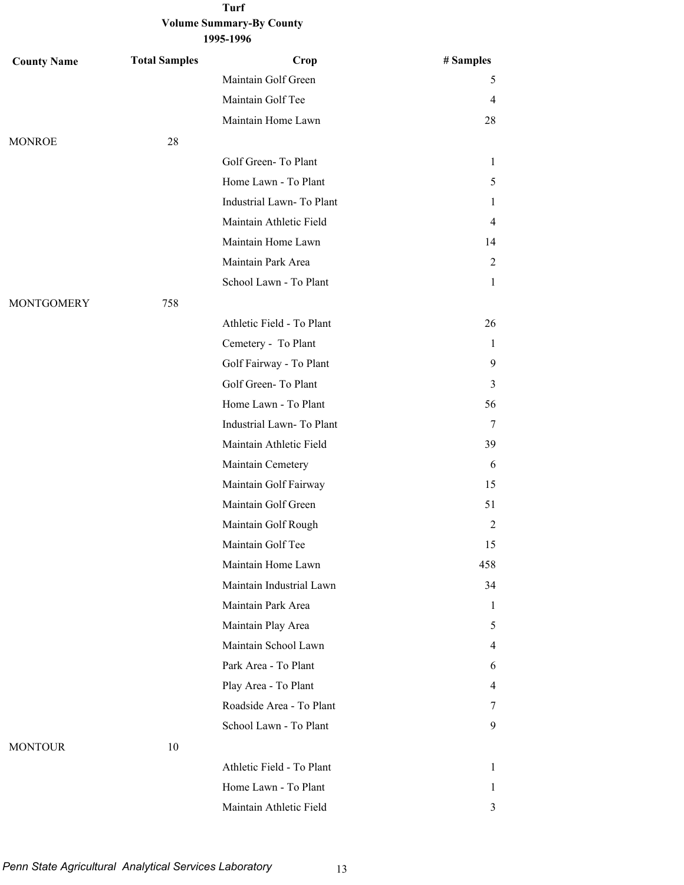| <b>County Name</b> | <b>Total Samples</b> | Crop                      | # Samples      |
|--------------------|----------------------|---------------------------|----------------|
|                    |                      | Maintain Golf Green       | 5              |
|                    |                      | Maintain Golf Tee         | 4              |
|                    |                      | Maintain Home Lawn        | 28             |
| <b>MONROE</b>      | 28                   |                           |                |
|                    |                      | Golf Green-To Plant       | 1              |
|                    |                      | Home Lawn - To Plant      | 5              |
|                    |                      | Industrial Lawn-To Plant  | 1              |
|                    |                      | Maintain Athletic Field   | 4              |
|                    |                      | Maintain Home Lawn        | 14             |
|                    |                      | Maintain Park Area        | 2              |
|                    |                      | School Lawn - To Plant    | $\mathbf{1}$   |
| <b>MONTGOMERY</b>  | 758                  |                           |                |
|                    |                      | Athletic Field - To Plant | 26             |
|                    |                      | Cemetery - To Plant       | 1              |
|                    |                      | Golf Fairway - To Plant   | 9              |
|                    |                      | Golf Green-To Plant       | 3              |
|                    |                      | Home Lawn - To Plant      | 56             |
|                    |                      | Industrial Lawn-To Plant  | 7              |
|                    |                      | Maintain Athletic Field   | 39             |
|                    |                      | Maintain Cemetery         | 6              |
|                    |                      | Maintain Golf Fairway     | 15             |
|                    |                      | Maintain Golf Green       | 51             |
|                    |                      | Maintain Golf Rough       | 2              |
|                    |                      | Maintain Golf Tee         | 15             |
|                    |                      | Maintain Home Lawn        | 458            |
|                    |                      | Maintain Industrial Lawn  | 34             |
|                    |                      | Maintain Park Area        | 1              |
|                    |                      | Maintain Play Area        | 5              |
|                    |                      | Maintain School Lawn      | $\overline{4}$ |
|                    |                      | Park Area - To Plant      | 6              |
|                    |                      | Play Area - To Plant      | $\overline{4}$ |
|                    |                      | Roadside Area - To Plant  | 7              |
|                    |                      | School Lawn - To Plant    | 9              |
| <b>MONTOUR</b>     | 10                   |                           |                |
|                    |                      | Athletic Field - To Plant | 1              |
|                    |                      | Home Lawn - To Plant      | 1              |
|                    |                      | Maintain Athletic Field   | 3              |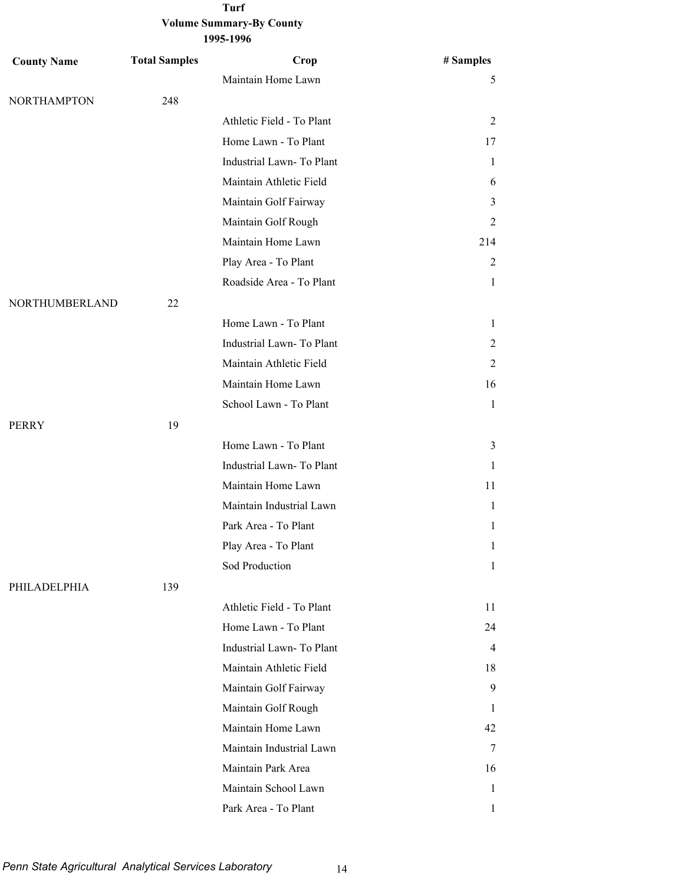| <b>County Name</b> | <b>Total Samples</b> | Crop                      | # Samples    |
|--------------------|----------------------|---------------------------|--------------|
|                    |                      | Maintain Home Lawn        | 5            |
| <b>NORTHAMPTON</b> | 248                  |                           |              |
|                    |                      | Athletic Field - To Plant | 2            |
|                    |                      | Home Lawn - To Plant      | 17           |
|                    |                      | Industrial Lawn-To Plant  | 1            |
|                    |                      | Maintain Athletic Field   | 6            |
|                    |                      | Maintain Golf Fairway     | 3            |
|                    |                      | Maintain Golf Rough       | 2            |
|                    |                      | Maintain Home Lawn        | 214          |
|                    |                      | Play Area - To Plant      | 2            |
|                    |                      | Roadside Area - To Plant  | $\mathbf{1}$ |
| NORTHUMBERLAND     | 22                   |                           |              |
|                    |                      | Home Lawn - To Plant      | 1            |
|                    |                      | Industrial Lawn-To Plant  | 2            |
|                    |                      | Maintain Athletic Field   | 2            |
|                    |                      | Maintain Home Lawn        | 16           |
|                    |                      | School Lawn - To Plant    | $\mathbf{1}$ |
| <b>PERRY</b>       | 19                   |                           |              |
|                    |                      | Home Lawn - To Plant      | 3            |
|                    |                      | Industrial Lawn-To Plant  | 1            |
|                    |                      | Maintain Home Lawn        | 11           |
|                    |                      | Maintain Industrial Lawn  | 1            |
|                    |                      | Park Area - To Plant      | $\mathbf{1}$ |
|                    |                      | Play Area - To Plant      | 1            |
|                    |                      | Sod Production            | 1            |
| PHILADELPHIA       | 139                  |                           |              |
|                    |                      | Athletic Field - To Plant | 11           |
|                    |                      | Home Lawn - To Plant      | 24           |
|                    |                      | Industrial Lawn-To Plant  | 4            |
|                    |                      | Maintain Athletic Field   | 18           |
|                    |                      | Maintain Golf Fairway     | 9            |
|                    |                      | Maintain Golf Rough       | 1            |
|                    |                      | Maintain Home Lawn        | 42           |
|                    |                      | Maintain Industrial Lawn  | 7            |
|                    |                      | Maintain Park Area        | 16           |
|                    |                      | Maintain School Lawn      | 1            |
|                    |                      | Park Area - To Plant      | 1            |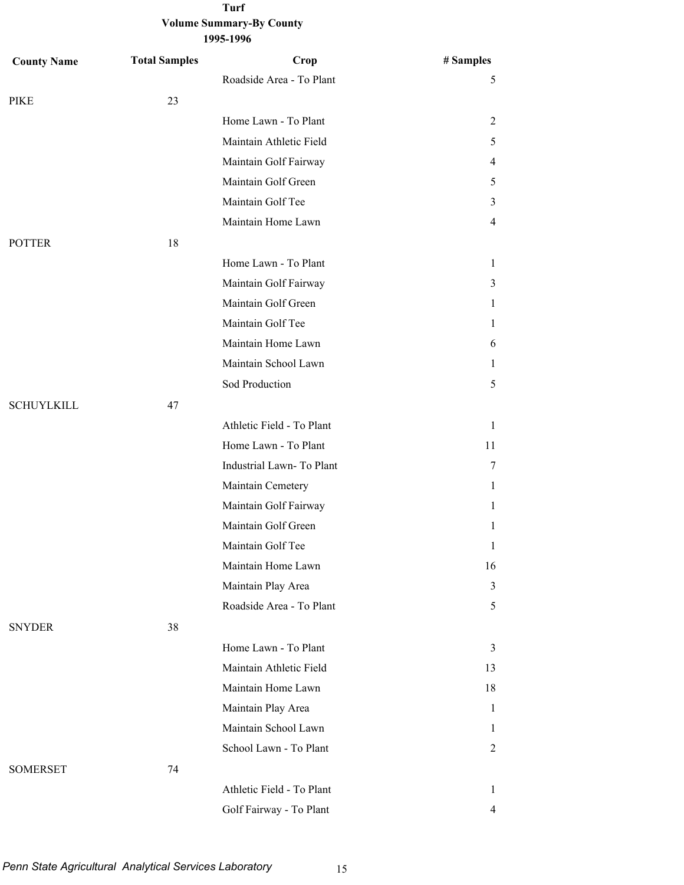| <b>County Name</b> | <b>Total Samples</b> | Crop                      | # Samples      |
|--------------------|----------------------|---------------------------|----------------|
|                    |                      | Roadside Area - To Plant  | 5              |
| PIKE               | 23                   |                           |                |
|                    |                      | Home Lawn - To Plant      | 2              |
|                    |                      | Maintain Athletic Field   | 5              |
|                    |                      | Maintain Golf Fairway     | 4              |
|                    |                      | Maintain Golf Green       | 5              |
|                    |                      | Maintain Golf Tee         | 3              |
|                    |                      | Maintain Home Lawn        | 4              |
| <b>POTTER</b>      | 18                   |                           |                |
|                    |                      | Home Lawn - To Plant      | 1              |
|                    |                      | Maintain Golf Fairway     | 3              |
|                    |                      | Maintain Golf Green       | 1              |
|                    |                      | Maintain Golf Tee         | 1              |
|                    |                      | Maintain Home Lawn        | 6              |
|                    |                      | Maintain School Lawn      | 1              |
|                    |                      | Sod Production            | 5              |
| <b>SCHUYLKILL</b>  | 47                   |                           |                |
|                    |                      | Athletic Field - To Plant | $\mathbf{1}$   |
|                    |                      | Home Lawn - To Plant      | 11             |
|                    |                      | Industrial Lawn- To Plant | 7              |
|                    |                      | Maintain Cemetery         | 1              |
|                    |                      | Maintain Golf Fairway     | 1              |
|                    |                      | Maintain Golf Green       | 1              |
|                    |                      | Maintain Golf Tee         | 1              |
|                    |                      | Maintain Home Lawn        | 16             |
|                    |                      | Maintain Play Area        | 3              |
|                    |                      | Roadside Area - To Plant  | 5              |
| <b>SNYDER</b>      | 38                   |                           |                |
|                    |                      | Home Lawn - To Plant      | 3              |
|                    |                      | Maintain Athletic Field   | 13             |
|                    |                      | Maintain Home Lawn        | 18             |
|                    |                      | Maintain Play Area        | $\mathbf{1}$   |
|                    |                      | Maintain School Lawn      | 1              |
|                    |                      | School Lawn - To Plant    | 2              |
| <b>SOMERSET</b>    | 74                   |                           |                |
|                    |                      | Athletic Field - To Plant | 1              |
|                    |                      | Golf Fairway - To Plant   | $\overline{4}$ |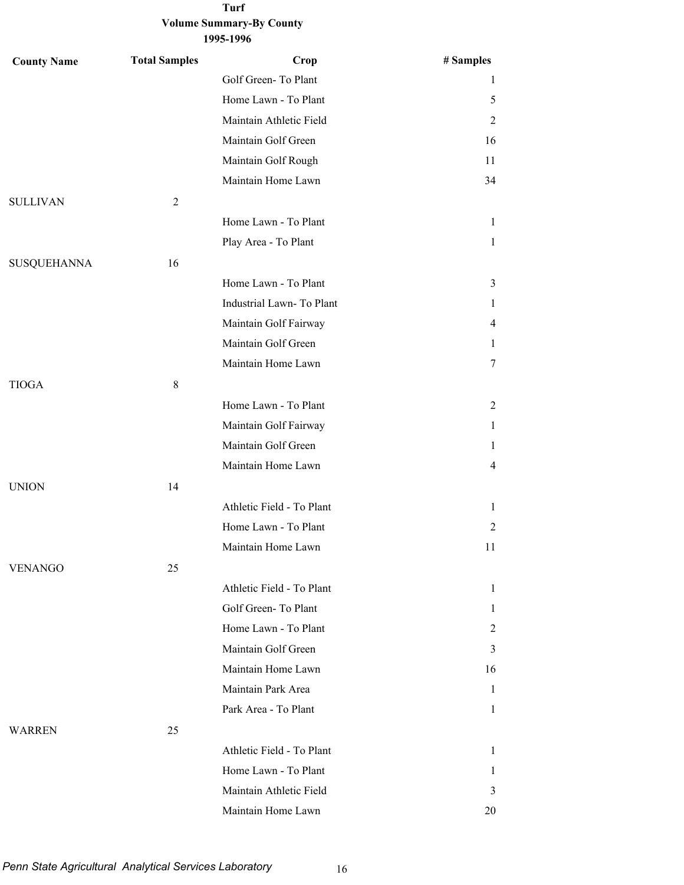| <b>County Name</b> | <b>Total Samples</b> | Crop                      | # Samples      |
|--------------------|----------------------|---------------------------|----------------|
|                    |                      | Golf Green-To Plant       | 1              |
|                    |                      | Home Lawn - To Plant      | 5              |
|                    |                      | Maintain Athletic Field   | 2              |
|                    |                      | Maintain Golf Green       | 16             |
|                    |                      | Maintain Golf Rough       | 11             |
|                    |                      | Maintain Home Lawn        | 34             |
| <b>SULLIVAN</b>    | 2                    |                           |                |
|                    |                      | Home Lawn - To Plant      | 1              |
|                    |                      | Play Area - To Plant      | 1              |
| <b>SUSQUEHANNA</b> | 16                   |                           |                |
|                    |                      | Home Lawn - To Plant      | 3              |
|                    |                      | Industrial Lawn- To Plant | 1              |
|                    |                      | Maintain Golf Fairway     | 4              |
|                    |                      | Maintain Golf Green       | 1              |
|                    |                      | Maintain Home Lawn        | 7              |
| <b>TIOGA</b>       | $\,8\,$              |                           |                |
|                    |                      | Home Lawn - To Plant      | 2              |
|                    |                      | Maintain Golf Fairway     | 1              |
|                    |                      | Maintain Golf Green       | 1              |
|                    |                      | Maintain Home Lawn        | $\overline{4}$ |
| <b>UNION</b>       | 14                   |                           |                |
|                    |                      | Athletic Field - To Plant | 1              |
|                    |                      | Home Lawn - To Plant      | 2              |
|                    |                      | Maintain Home Lawn        | 11             |
| <b>VENANGO</b>     | 25                   |                           |                |
|                    |                      | Athletic Field - To Plant | 1              |
|                    |                      | Golf Green-To Plant       | 1              |
|                    |                      | Home Lawn - To Plant      | 2              |
|                    |                      | Maintain Golf Green       | 3              |
|                    |                      | Maintain Home Lawn        | 16             |
|                    |                      | Maintain Park Area        | 1              |
|                    |                      | Park Area - To Plant      | 1              |
| <b>WARREN</b>      | 25                   |                           |                |
|                    |                      | Athletic Field - To Plant | 1              |
|                    |                      | Home Lawn - To Plant      | 1              |
|                    |                      | Maintain Athletic Field   | 3              |
|                    |                      | Maintain Home Lawn        | 20             |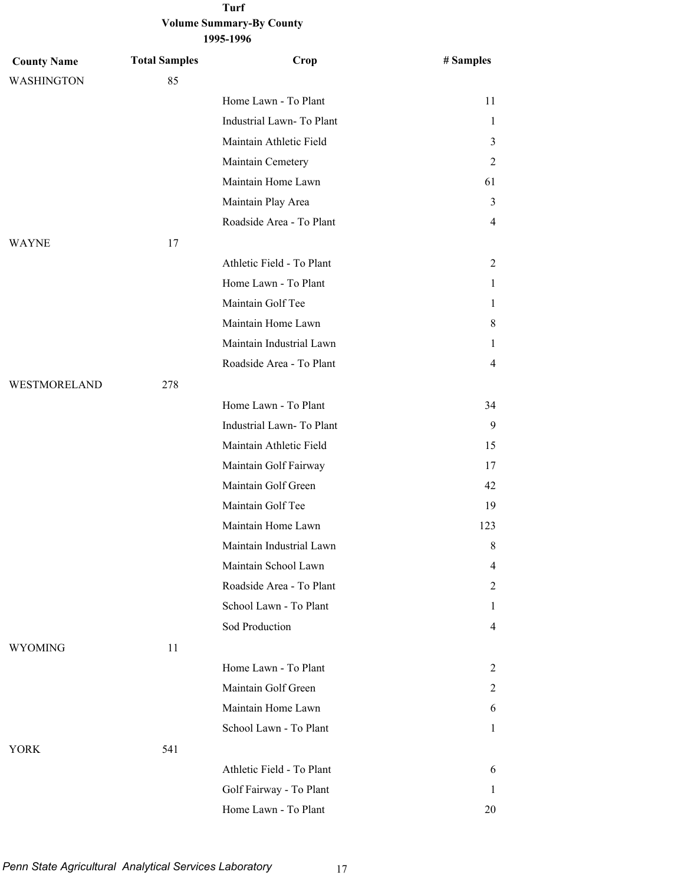#### **Volume Summary-By County 1995-1996 Turf**

| <b>County Name</b> | <b>Total Samples</b> | Crop                      | # Samples      |
|--------------------|----------------------|---------------------------|----------------|
| <b>WASHINGTON</b>  | 85                   |                           |                |
|                    |                      | Home Lawn - To Plant      | 11             |
|                    |                      | Industrial Lawn-To Plant  | $\mathbf{1}$   |
|                    |                      | Maintain Athletic Field   | 3              |
|                    |                      | Maintain Cemetery         | 2              |
|                    |                      | Maintain Home Lawn        | 61             |
|                    |                      | Maintain Play Area        | 3              |
|                    |                      | Roadside Area - To Plant  | $\overline{4}$ |
| <b>WAYNE</b>       | 17                   |                           |                |
|                    |                      | Athletic Field - To Plant | 2              |
|                    |                      | Home Lawn - To Plant      | 1              |
|                    |                      | Maintain Golf Tee         | 1              |
|                    |                      | Maintain Home Lawn        | 8              |
|                    |                      | Maintain Industrial Lawn  | 1              |
|                    |                      | Roadside Area - To Plant  | 4              |
| WESTMORELAND       | 278                  |                           |                |
|                    |                      | Home Lawn - To Plant      | 34             |
|                    |                      | Industrial Lawn-To Plant  | 9              |
|                    |                      | Maintain Athletic Field   | 15             |
|                    |                      | Maintain Golf Fairway     | 17             |
|                    |                      | Maintain Golf Green       | 42             |
|                    |                      | Maintain Golf Tee         | 19             |
|                    |                      | Maintain Home Lawn        | 123            |
|                    |                      | Maintain Industrial Lawn  | $\,8\,$        |
|                    |                      | Maintain School Lawn      | 4              |
|                    |                      | Roadside Area - To Plant  | 2              |
|                    |                      | School Lawn - To Plant    | 1              |
|                    |                      | Sod Production            | $\overline{4}$ |
| <b>WYOMING</b>     | 11                   |                           |                |
|                    |                      | Home Lawn - To Plant      | 2              |
|                    |                      | Maintain Golf Green       | 2              |
|                    |                      | Maintain Home Lawn        | 6              |
|                    |                      | School Lawn - To Plant    | 1              |
| <b>YORK</b>        | 541                  |                           |                |
|                    |                      | Athletic Field - To Plant | 6              |
|                    |                      | Golf Fairway - To Plant   | 1              |
|                    |                      | Home Lawn - To Plant      | 20             |